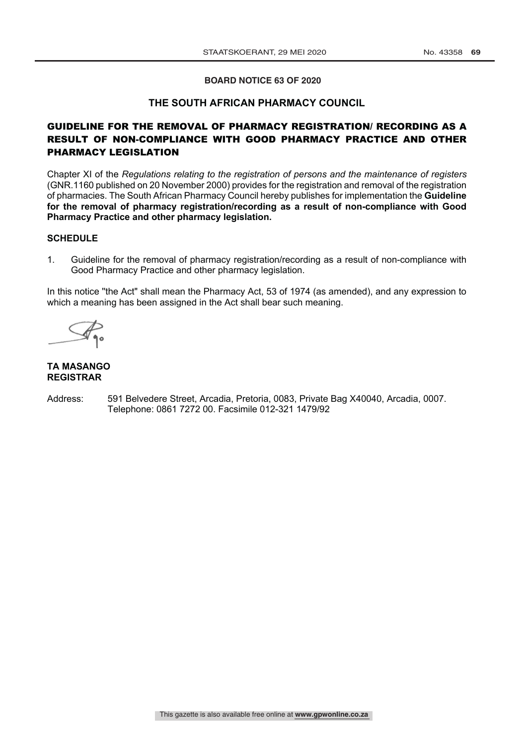## **BOARD NOTICE 63 OF 2020**

## **THE SOUTH AFRICAN PHARMACY COUNCIL**

## GUIDELINE FOR THE REMOVAL OF PHARMACY REGISTRATION/ RECORDING AS A RESULT OF NON-COMPLIANCE WITH GOOD PHARMACY PRACTICE AND OTHER PHARMACY LEGISLATION

Chapter XI of the *Regulations relating to the registration of persons and the maintenance of registers* (GNR.1160 published on 20 November 2000) provides for the registration and removal of the registration of pharmacies. The South African Pharmacy Council hereby publishes for implementation the **Guideline for the removal of pharmacy registration/recording as a result of non-compliance with Good Pharmacy Practice and other pharmacy legislation.**

## **SCHEDULE**

1. Guideline for the removal of pharmacy registration/recording as a result of non-compliance with Good Pharmacy Practice and other pharmacy legislation.

In this notice "the Act" shall mean the Pharmacy Act, 53 of 1974 (as amended), and any expression to which a meaning has been assigned in the Act shall bear such meaning.

## **TA MASANGO REGISTRAR**

Address: 591 Belvedere Street, Arcadia, Pretoria, 0083, Private Bag X40040, Arcadia, 0007. Telephone: 0861 7272 00. Facsimile 012-321 1479/92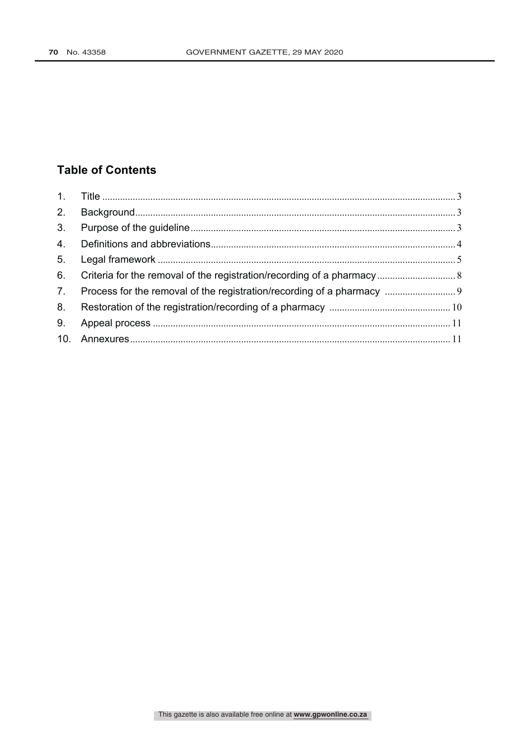# **Table of Contents**

| 2.             |  |
|----------------|--|
| 3.             |  |
| 4.             |  |
| 5.             |  |
| 6.             |  |
| 7 <sub>1</sub> |  |
| 8.             |  |
| 9.             |  |
|                |  |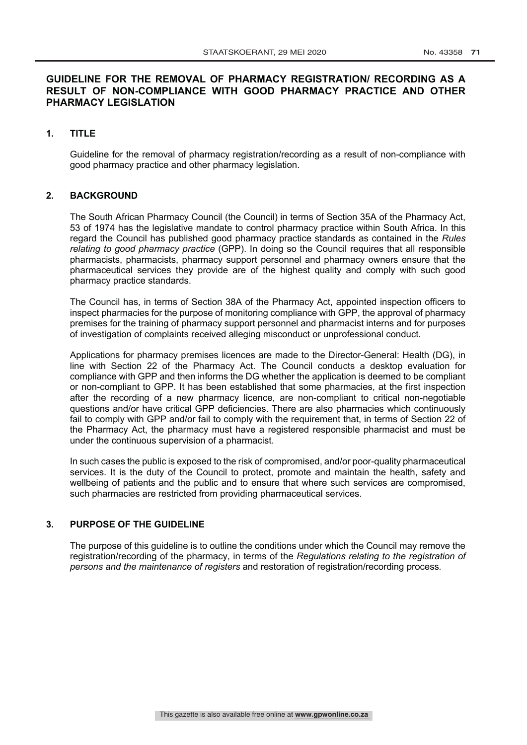## **GUIDELINE FOR THE REMOVAL OF PHARMACY REGISTRATION/ RECORDING AS A RESULT OF NON-COMPLIANCE WITH GOOD PHARMACY PRACTICE AND OTHER PHARMACY LEGISLATION**

## **1. TITLE**

Guideline for the removal of pharmacy registration/recording as a result of non-compliance with good pharmacy practice and other pharmacy legislation.

#### **2. BACKGROUND**

The South African Pharmacy Council (the Council) in terms of Section 35A of the Pharmacy Act, 53 of 1974 has the legislative mandate to control pharmacy practice within South Africa. In this regard the Council has published good pharmacy practice standards as contained in the *Rules relating to good pharmacy practice* (GPP). In doing so the Council requires that all responsible pharmacists, pharmacists, pharmacy support personnel and pharmacy owners ensure that the pharmaceutical services they provide are of the highest quality and comply with such good pharmacy practice standards.

The Council has, in terms of Section 38A of the Pharmacy Act, appointed inspection officers to inspect pharmacies for the purpose of monitoring compliance with GPP, the approval of pharmacy premises for the training of pharmacy support personnel and pharmacist interns and for purposes of investigation of complaints received alleging misconduct or unprofessional conduct.

Applications for pharmacy premises licences are made to the Director-General: Health (DG), in line with Section 22 of the Pharmacy Act. The Council conducts a desktop evaluation for compliance with GPP and then informs the DG whether the application is deemed to be compliant or non-compliant to GPP. It has been established that some pharmacies, at the first inspection after the recording of a new pharmacy licence, are non-compliant to critical non-negotiable questions and/or have critical GPP deficiencies. There are also pharmacies which continuously fail to comply with GPP and/or fail to comply with the requirement that, in terms of Section 22 of the Pharmacy Act, the pharmacy must have a registered responsible pharmacist and must be under the continuous supervision of a pharmacist.

In such cases the public is exposed to the risk of compromised, and/or poor-quality pharmaceutical services. It is the duty of the Council to protect, promote and maintain the health, safety and wellbeing of patients and the public and to ensure that where such services are compromised, such pharmacies are restricted from providing pharmaceutical services.

#### **3. PURPOSE OF THE GUIDELINE**

The purpose of this guideline is to outline the conditions under which the Council may remove the registration/recording of the pharmacy, in terms of the *Regulations relating to the registration of persons and the maintenance of registers* and restoration of registration/recording process*.*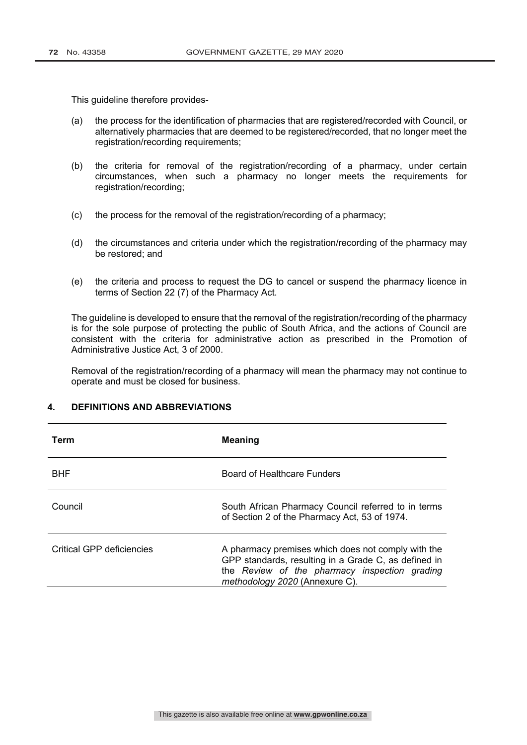This guideline therefore provides-

- (a) the process for the identification of pharmacies that are registered/recorded with Council, or alternatively pharmacies that are deemed to be registered/recorded, that no longer meet the registration/recording requirements;
- (b) the criteria for removal of the registration/recording of a pharmacy, under certain circumstances, when such a pharmacy no longer meets the requirements for registration/recording;
- (c) the process for the removal of the registration/recording of a pharmacy;
- (d) the circumstances and criteria under which the registration/recording of the pharmacy may be restored; and
- (e) the criteria and process to request the DG to cancel or suspend the pharmacy licence in terms of Section 22 (7) of the Pharmacy Act.

The guideline is developed to ensure that the removal of the registration/recording of the pharmacy is for the sole purpose of protecting the public of South Africa, and the actions of Council are consistent with the criteria for administrative action as prescribed in the Promotion of Administrative Justice Act, 3 of 2000.

Removal of the registration/recording of a pharmacy will mean the pharmacy may not continue to operate and must be closed for business.

## **4. DEFINITIONS AND ABBREVIATIONS**

| Term                      | <b>Meaning</b>                                                                                                                                                                                |
|---------------------------|-----------------------------------------------------------------------------------------------------------------------------------------------------------------------------------------------|
| <b>BHF</b>                | Board of Healthcare Funders                                                                                                                                                                   |
| Council                   | South African Pharmacy Council referred to in terms<br>of Section 2 of the Pharmacy Act, 53 of 1974.                                                                                          |
| Critical GPP deficiencies | A pharmacy premises which does not comply with the<br>GPP standards, resulting in a Grade C, as defined in<br>the Review of the pharmacy inspection grading<br>methodology 2020 (Annexure C). |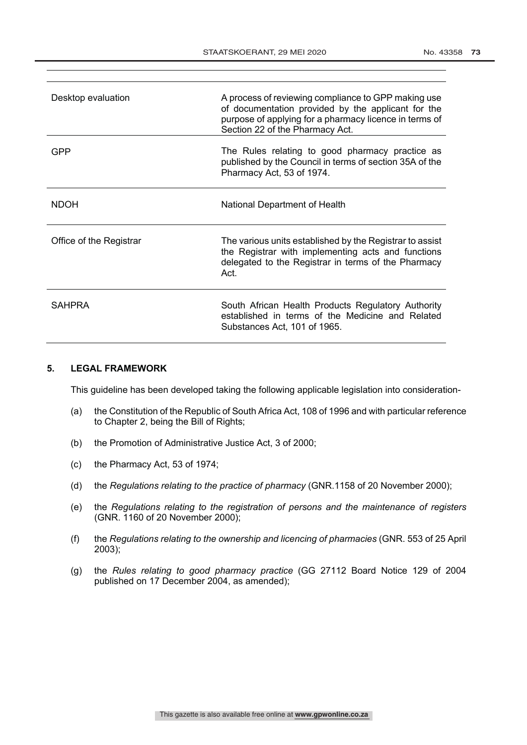| Desktop evaluation      | A process of reviewing compliance to GPP making use<br>of documentation provided by the applicant for the<br>purpose of applying for a pharmacy licence in terms of<br>Section 22 of the Pharmacy Act. |
|-------------------------|--------------------------------------------------------------------------------------------------------------------------------------------------------------------------------------------------------|
| GPP                     | The Rules relating to good pharmacy practice as<br>published by the Council in terms of section 35A of the<br>Pharmacy Act, 53 of 1974.                                                                |
| <b>NDOH</b>             | National Department of Health                                                                                                                                                                          |
| Office of the Registrar | The various units established by the Registrar to assist<br>the Registrar with implementing acts and functions<br>delegated to the Registrar in terms of the Pharmacy<br>Act.                          |
| <b>SAHPRA</b>           | South African Health Products Regulatory Authority<br>established in terms of the Medicine and Related<br>Substances Act, 101 of 1965.                                                                 |

## **5. LEGAL FRAMEWORK**

This guideline has been developed taking the following applicable legislation into consideration-

- (a) the Constitution of the Republic of South Africa Act, 108 of 1996 and with particular reference to Chapter 2, being the Bill of Rights;
- (b) the Promotion of Administrative Justice Act, 3 of 2000;
- (c) the Pharmacy Act, 53 of 1974;
- (d) the *Regulations relating to the practice of pharmacy* (GNR.1158 of 20 November 2000);
- (e) the *Regulations relating to the registration of persons and the maintenance of registers* (GNR. 1160 of 20 November 2000);
- (f) the *Regulations relating to the ownership and licencing of pharmacies* (GNR. 553 of 25 April 2003);
- (g) the *Rules relating to good pharmacy practice* (GG 27112 Board Notice 129 of 2004 published on 17 December 2004, as amended);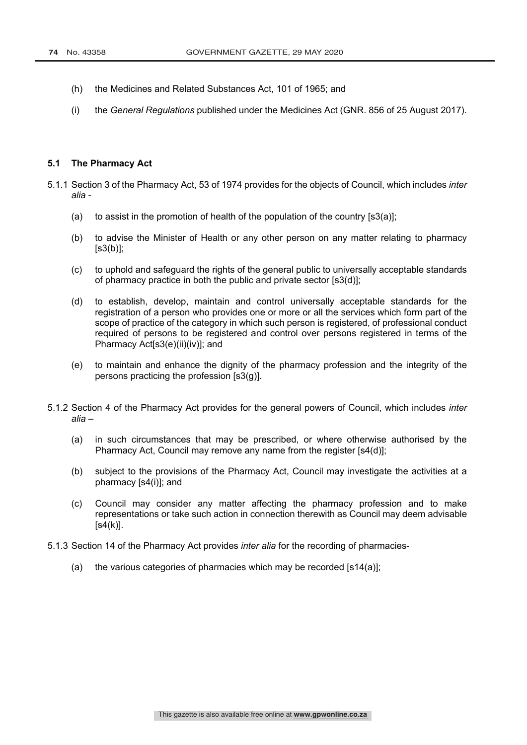- (h) the Medicines and Related Substances Act, 101 of 1965; and
- (i) the *General Regulations* published under the Medicines Act (GNR. 856 of 25 August 2017).

### **5.1 The Pharmacy Act**

- 5.1.1 Section 3 of the Pharmacy Act, 53 of 1974 provides for the objects of Council, which includes *inter alia* -
	- (a) to assist in the promotion of health of the population of the country  $[s3(a)]$ ;
	- (b) to advise the Minister of Health or any other person on any matter relating to pharmacy  $[s3(b)]$ ;
	- (c) to uphold and safeguard the rights of the general public to universally acceptable standards of pharmacy practice in both the public and private sector [s3(d)];
	- (d) to establish, develop, maintain and control universally acceptable standards for the registration of a person who provides one or more or all the services which form part of the scope of practice of the category in which such person is registered, of professional conduct required of persons to be registered and control over persons registered in terms of the Pharmacy Act[s3(e)(ii)(iv)]; and
	- (e) to maintain and enhance the dignity of the pharmacy profession and the integrity of the persons practicing the profession [s3(g)].
- 5.1.2 Section 4 of the Pharmacy Act provides for the general powers of Council, which includes *inter alia* –
	- (a) in such circumstances that may be prescribed, or where otherwise authorised by the Pharmacy Act, Council may remove any name from the register [s4(d)];
	- (b) subject to the provisions of the Pharmacy Act, Council may investigate the activities at a pharmacy [s4(i)]; and
	- (c) Council may consider any matter affecting the pharmacy profession and to make representations or take such action in connection therewith as Council may deem advisable  $[s4(k)].$
- 5.1.3 Section 14 of the Pharmacy Act provides *inter alia* for the recording of pharmacies-
	- (a) the various categories of pharmacies which may be recorded  $[s14(a)]$ ;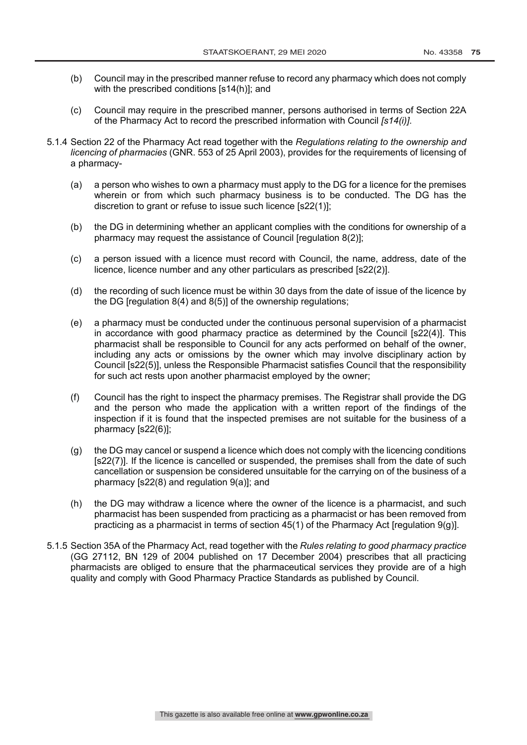- (b) Council may in the prescribed manner refuse to record any pharmacy which does not comply with the prescribed conditions [s14(h)]; and
- (c) Council may require in the prescribed manner, persons authorised in terms of Section 22A of the Pharmacy Act to record the prescribed information with Council *[s14(i)]*.
- 5.1.4 Section 22 of the Pharmacy Act read together with the *Regulations relating to the ownership and licencing of pharmacies* (GNR. 553 of 25 April 2003), provides for the requirements of licensing of a pharmacy-
	- (a) a person who wishes to own a pharmacy must apply to the DG for a licence for the premises wherein or from which such pharmacy business is to be conducted. The DG has the discretion to grant or refuse to issue such licence [s22(1)];
	- (b) the DG in determining whether an applicant complies with the conditions for ownership of a pharmacy may request the assistance of Council [requisition 8(2)];
	- (c) a person issued with a licence must record with Council, the name, address, date of the licence, licence number and any other particulars as prescribed [s22(2)].
	- (d) the recording of such licence must be within 30 days from the date of issue of the licence by the DG [regulation 8(4) and 8(5)] of the ownership regulations;
	- (e) a pharmacy must be conducted under the continuous personal supervision of a pharmacist in accordance with good pharmacy practice as determined by the Council [s22(4)]. This pharmacist shall be responsible to Council for any acts performed on behalf of the owner, including any acts or omissions by the owner which may involve disciplinary action by Council [s22(5)], unless the Responsible Pharmacist satisfies Council that the responsibility for such act rests upon another pharmacist employed by the owner;
	- (f) Council has the right to inspect the pharmacy premises. The Registrar shall provide the DG and the person who made the application with a written report of the findings of the inspection if it is found that the inspected premises are not suitable for the business of a pharmacy [s22(6)];
	- (g) the DG may cancel or suspend a licence which does not comply with the licencing conditions [s22(7)]. If the licence is cancelled or suspended, the premises shall from the date of such cancellation or suspension be considered unsuitable for the carrying on of the business of a pharmacy [s22(8) and regulation 9(a)]; and
	- (h) the DG may withdraw a licence where the owner of the licence is a pharmacist, and such pharmacist has been suspended from practicing as a pharmacist or has been removed from practicing as a pharmacist in terms of section 45(1) of the Pharmacy Act [regulation 9(g)].
- 5.1.5 Section 35A of the Pharmacy Act, read together with the *Rules relating to good pharmacy practice*  (GG 27112, BN 129 of 2004 published on 17 December 2004) prescribes that all practicing pharmacists are obliged to ensure that the pharmaceutical services they provide are of a high quality and comply with Good Pharmacy Practice Standards as published by Council.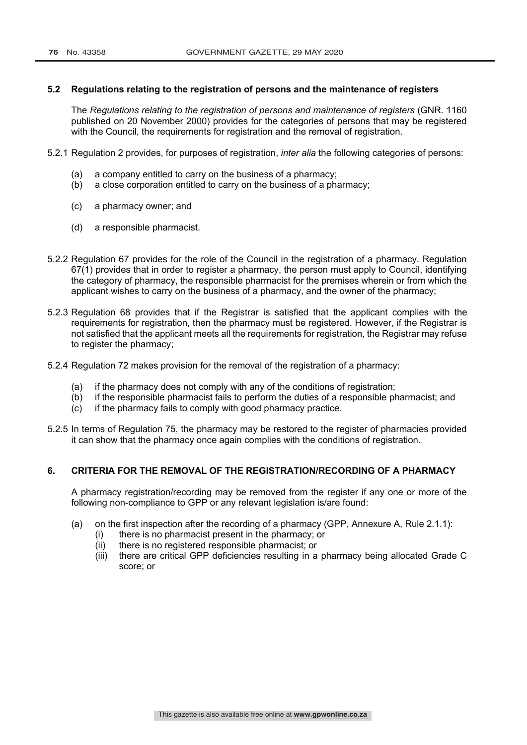## **5.2 Regulations relating to the registration of persons and the maintenance of registers**

The *Regulations relating to the registration of persons and maintenance of registers* (GNR. 1160 published on 20 November 2000) provides for the categories of persons that may be registered with the Council, the requirements for reqistration and the removal of reqistration.

- 5.2.1 Regulation 2 provides, for purposes of registration, *inter alia* the following categories of persons:
	- (a) a company entitled to carry on the business of a pharmacy;
	- (b) a close corporation entitled to carry on the business of a pharmacy;
	- (c) a pharmacy owner; and
	- (d) a responsible pharmacist.
- 5.2.2 Regulation 67 provides for the role of the Council in the registration of a pharmacy. Regulation 67(1) provides that in order to register a pharmacy, the person must apply to Council, identifying the category of pharmacy, the responsible pharmacist for the premises wherein or from which the applicant wishes to carry on the business of a pharmacy, and the owner of the pharmacy;
- 5.2.3 Regulation 68 provides that if the Registrar is satisfied that the applicant complies with the requirements for registration, then the pharmacy must be registered. However, if the Registrar is not satisfied that the applicant meets all the requirements for registration, the Registrar may refuse to register the pharmacy;
- 5.2.4 Regulation 72 makes provision for the removal of the registration of a pharmacy:
	- (a) if the pharmacy does not comply with any of the conditions of registration;
	- (b) if the responsible pharmacist fails to perform the duties of a responsible pharmacist; and
	- (c) if the pharmacy fails to comply with good pharmacy practice.
- 5.2.5 In terms of Regulation 75, the pharmacy may be restored to the register of pharmacies provided it can show that the pharmacy once again complies with the conditions of registration.

## **6. CRITERIA FOR THE REMOVAL OF THE REGISTRATION/RECORDING OF A PHARMACY**

A pharmacy registration/recording may be removed from the register if any one or more of the following non-compliance to GPP or any relevant legislation is/are found:

- (a) on the first inspection after the recording of a pharmacy (GPP, Annexure A, Rule 2.1.1):
	- (i) there is no pharmacist present in the pharmacy; or
	- (ii) there is no registered responsible pharmacist; or
	- (iii) there are critical GPP deficiencies resulting in a pharmacy being allocated Grade C score; or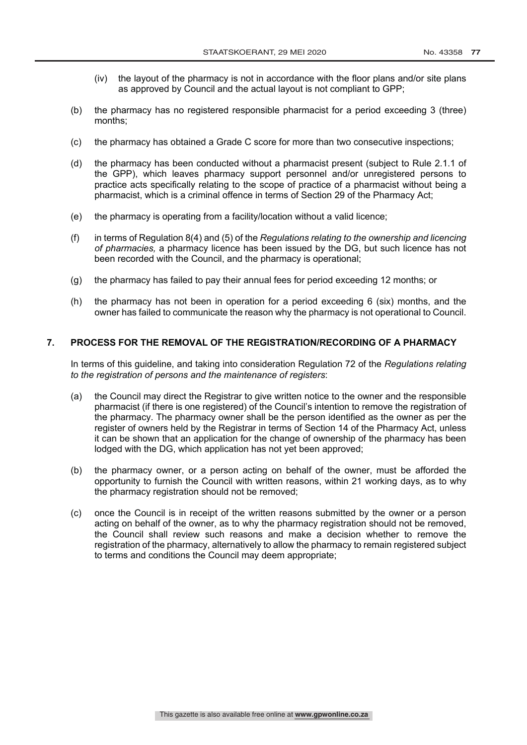- (iv) the layout of the pharmacy is not in accordance with the floor plans and/or site plans as approved by Council and the actual layout is not compliant to GPP;
- (b) the pharmacy has no registered responsible pharmacist for a period exceeding 3 (three) months;
- (c) the pharmacy has obtained a Grade C score for more than two consecutive inspections;
- (d) the pharmacy has been conducted without a pharmacist present (subject to Rule 2.1.1 of the GPP), which leaves pharmacy support personnel and/or unregistered persons to practice acts specifically relating to the scope of practice of a pharmacist without being a pharmacist, which is a criminal offence in terms of Section 29 of the Pharmacy Act;
- (e) the pharmacy is operating from a facility/location without a valid licence;
- (f) in terms of Regulation 8(4) and (5) of the *Regulations relating to the ownership and licencing of pharmacies,* a pharmacy licence has been issued by the DG, but such licence has not been recorded with the Council, and the pharmacy is operational;
- (g) the pharmacy has failed to pay their annual fees for period exceeding 12 months; or
- (h) the pharmacy has not been in operation for a period exceeding 6 (six) months, and the owner has failed to communicate the reason why the pharmacy is not operational to Council.

## **7. PROCESS FOR THE REMOVAL OF THE REGISTRATION/RECORDING OF A PHARMACY**

In terms of this guideline, and taking into consideration Regulation 72 of the *Regulations relating to the registration of persons and the maintenance of registers*:

- (a) the Council may direct the Registrar to give written notice to the owner and the responsible pharmacist (if there is one registered) of the Council's intention to remove the registration of the pharmacy. The pharmacy owner shall be the person identified as the owner as per the register of owners held by the Registrar in terms of Section 14 of the Pharmacy Act, unless it can be shown that an application for the change of ownership of the pharmacy has been lodged with the DG, which application has not yet been approved;
- (b) the pharmacy owner, or a person acting on behalf of the owner, must be afforded the opportunity to furnish the Council with written reasons, within 21 working days, as to why the pharmacy registration should not be removed;
- (c) once the Council is in receipt of the written reasons submitted by the owner or a person acting on behalf of the owner, as to why the pharmacy registration should not be removed, the Council shall review such reasons and make a decision whether to remove the registration of the pharmacy, alternatively to allow the pharmacy to remain registered subject to terms and conditions the Council may deem appropriate;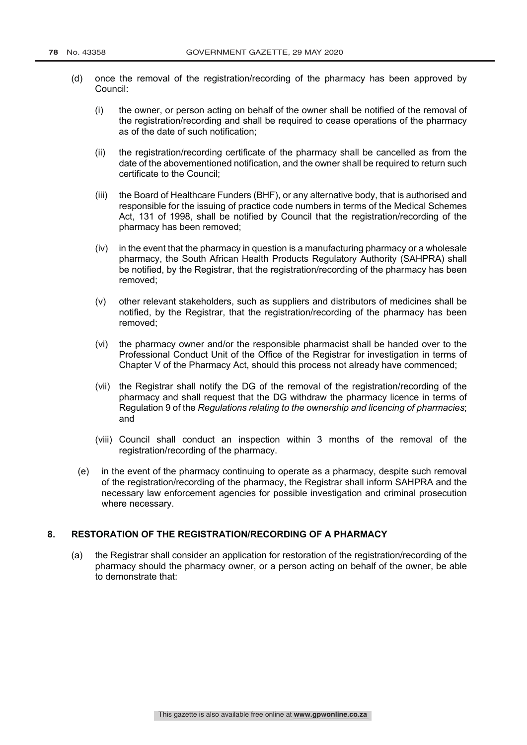- (d) once the removal of the registration/recording of the pharmacy has been approved by Council:
	- (i) the owner, or person acting on behalf of the owner shall be notified of the removal of the registration/recording and shall be required to cease operations of the pharmacy as of the date of such notification;
	- (ii) the registration/recording certificate of the pharmacy shall be cancelled as from the date of the abovementioned notification, and the owner shall be required to return such certificate to the Council;
	- (iii) the Board of Healthcare Funders (BHF), or any alternative body, that is authorised and responsible for the issuing of practice code numbers in terms of the Medical Schemes Act, 131 of 1998, shall be notified by Council that the registration/recording of the pharmacy has been removed;
	- $(iv)$  in the event that the pharmacy in question is a manufacturing pharmacy or a wholesale pharmacy, the South African Health Products Regulatory Authority (SAHPRA) shall be notified, by the Registrar, that the registration/recording of the pharmacy has been removed;
	- (v) other relevant stakeholders, such as suppliers and distributors of medicines shall be notified, by the Registrar, that the registration/recording of the pharmacy has been removed;
	- (vi) the pharmacy owner and/or the responsible pharmacist shall be handed over to the Professional Conduct Unit of the Office of the Registrar for investigation in terms of Chapter V of the Pharmacy Act, should this process not already have commenced;
	- (vii) the Registrar shall notify the DG of the removal of the registration/recording of the pharmacy and shall request that the DG withdraw the pharmacy licence in terms of Regulation 9 of the *Regulations relating to the ownership and licencing of pharmacies*; and
	- (viii) Council shall conduct an inspection within 3 months of the removal of the registration/recording of the pharmacy.
	- (e) in the event of the pharmacy continuing to operate as a pharmacy, despite such removal of the registration/recording of the pharmacy, the Registrar shall inform SAHPRA and the necessary law enforcement agencies for possible investigation and criminal prosecution where necessary.

## **8. RESTORATION OF THE REGISTRATION/RECORDING OF A PHARMACY**

(a) the Registrar shall consider an application for restoration of the registration/recording of the pharmacy should the pharmacy owner, or a person acting on behalf of the owner, be able to demonstrate that: